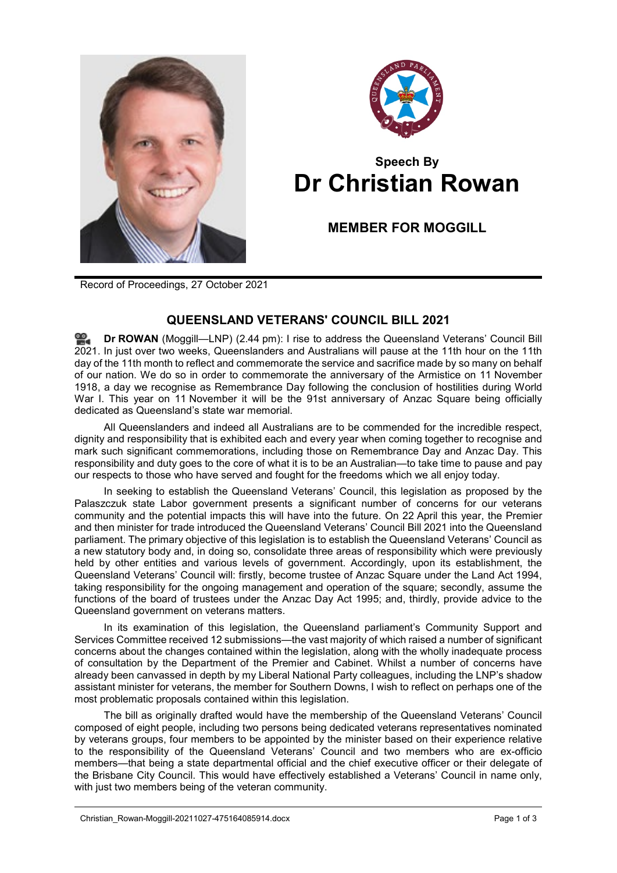



## **Speech By Dr Christian Rowan**

**MEMBER FOR MOGGILL**

Record of Proceedings, 27 October 2021

## **QUEENSLAND VETERANS' COUNCIL BILL 2021**

**Dr [ROWAN](http://www.parliament.qld.gov.au/docs/find.aspx?id=0Mba20211027_144437)** (Moggill—LNP) (2.44 pm): I rise to address the Queensland Veterans' Council Bill 2021. In just over two weeks, Queenslanders and Australians will pause at the 11th hour on the 11th day of the 11th month to reflect and commemorate the service and sacrifice made by so many on behalf of our nation. We do so in order to commemorate the anniversary of the Armistice on 11 November 1918, a day we recognise as Remembrance Day following the conclusion of hostilities during World War I. This year on 11 November it will be the 91st anniversary of Anzac Square being officially dedicated as Queensland's state war memorial.

All Queenslanders and indeed all Australians are to be commended for the incredible respect, dignity and responsibility that is exhibited each and every year when coming together to recognise and mark such significant commemorations, including those on Remembrance Day and Anzac Day. This responsibility and duty goes to the core of what it is to be an Australian—to take time to pause and pay our respects to those who have served and fought for the freedoms which we all enjoy today.

In seeking to establish the Queensland Veterans' Council, this legislation as proposed by the Palaszczuk state Labor government presents a significant number of concerns for our veterans community and the potential impacts this will have into the future. On 22 April this year, the Premier and then minister for trade introduced the Queensland Veterans' Council Bill 2021 into the Queensland parliament. The primary objective of this legislation is to establish the Queensland Veterans' Council as a new statutory body and, in doing so, consolidate three areas of responsibility which were previously held by other entities and various levels of government. Accordingly, upon its establishment, the Queensland Veterans' Council will: firstly, become trustee of Anzac Square under the Land Act 1994, taking responsibility for the ongoing management and operation of the square; secondly, assume the functions of the board of trustees under the Anzac Day Act 1995; and, thirdly, provide advice to the Queensland government on veterans matters.

In its examination of this legislation, the Queensland parliament's Community Support and Services Committee received 12 submissions—the vast majority of which raised a number of significant concerns about the changes contained within the legislation, along with the wholly inadequate process of consultation by the Department of the Premier and Cabinet. Whilst a number of concerns have already been canvassed in depth by my Liberal National Party colleagues, including the LNP's shadow assistant minister for veterans, the member for Southern Downs, I wish to reflect on perhaps one of the most problematic proposals contained within this legislation.

The bill as originally drafted would have the membership of the Queensland Veterans' Council composed of eight people, including two persons being dedicated veterans representatives nominated by veterans groups, four members to be appointed by the minister based on their experience relative to the responsibility of the Queensland Veterans' Council and two members who are ex-officio members—that being a state departmental official and the chief executive officer or their delegate of the Brisbane City Council. This would have effectively established a Veterans' Council in name only, with just two members being of the veteran community.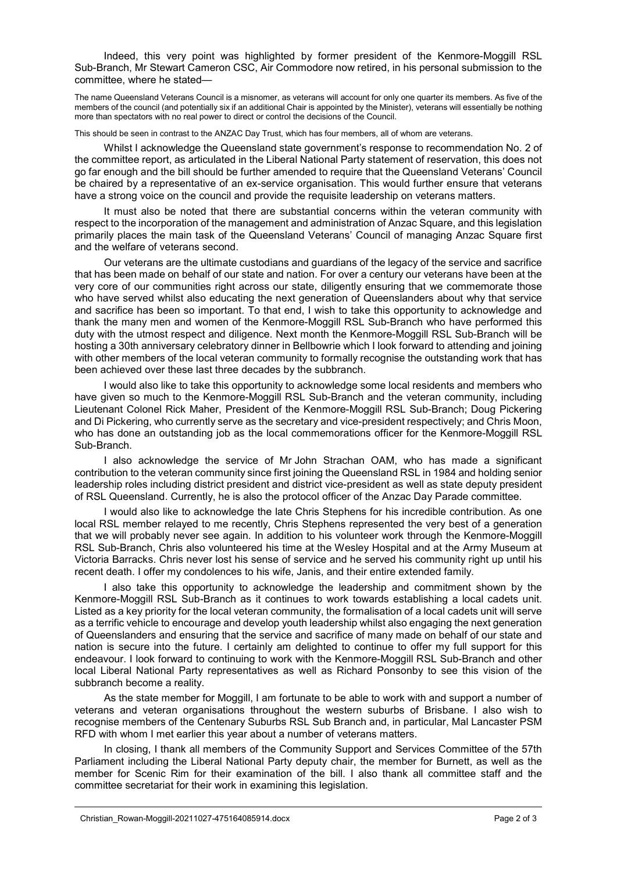Indeed, this very point was highlighted by former president of the Kenmore-Moggill RSL Sub-Branch, Mr Stewart Cameron CSC, Air Commodore now retired, in his personal submission to the committee, where he stated-

The name Queensland Veterans Council is a misnomer, as veterans will account for only one quarter its members. As five of the members of the council (and potentially six if an additional Chair is appointed by the Minister), veterans will essentially be nothing more than spectators with no real power to direct or control the decisions of the Council.

This should be seen in contrast to the ANZAC Day Trust, which has four members, all of whom are veterans.

Whilst I acknowledge the Queensland state government's response to recommendation No. 2 of the committee report, as articulated in the Liberal National Party statement of reservation, this does not go far enough and the bill should be further amended to require that the Queensland Veterans' Council be chaired by a representative of an ex-service organisation. This would further ensure that veterans have a strong voice on the council and provide the requisite leadership on veterans matters.

It must also be noted that there are substantial concerns within the veteran community with respect to the incorporation of the management and administration of Anzac Square, and this legislation primarily places the main task of the Queensland Veterans' Council of managing Anzac Square first and the welfare of veterans second.

Our veterans are the ultimate custodians and guardians of the legacy of the service and sacrifice that has been made on behalf of our state and nation. For over a century our veterans have been at the very core of our communities right across our state, diligently ensuring that we commemorate those who have served whilst also educating the next generation of Queenslanders about why that service and sacrifice has been so important. To that end, I wish to take this opportunity to acknowledge and thank the many men and women of the Kenmore-Moggill RSL Sub-Branch who have performed this duty with the utmost respect and diligence. Next month the Kenmore-Moggill RSL Sub-Branch will be hosting a 30th anniversary celebratory dinner in Bellbowrie which I look forward to attending and joining with other members of the local veteran community to formally recognise the outstanding work that has been achieved over these last three decades by the subbranch.

I would also like to take this opportunity to acknowledge some local residents and members who have given so much to the Kenmore-Moggill RSL Sub-Branch and the veteran community, including Lieutenant Colonel Rick Maher, President of the Kenmore-Moggill RSL Sub-Branch; Doug Pickering and Di Pickering, who currently serve as the secretary and vice-president respectively; and Chris Moon, who has done an outstanding job as the local commemorations officer for the Kenmore-Moggill RSL Sub-Branch.

I also acknowledge the service of Mr John Strachan OAM, who has made a significant contribution to the veteran community since first joining the Queensland RSL in 1984 and holding senior leadership roles including district president and district vice-president as well as state deputy president of RSL Queensland. Currently, he is also the protocol officer of the Anzac Day Parade committee.

I would also like to acknowledge the late Chris Stephens for his incredible contribution. As one local RSL member relayed to me recently, Chris Stephens represented the very best of a generation that we will probably never see again. In addition to his volunteer work through the Kenmore-Moggill RSL Sub-Branch, Chris also volunteered his time at the Wesley Hospital and at the Army Museum at Victoria Barracks. Chris never lost his sense of service and he served his community right up until his recent death. I offer my condolences to his wife, Janis, and their entire extended family.

I also take this opportunity to acknowledge the leadership and commitment shown by the Kenmore-Moggill RSL Sub-Branch as it continues to work towards establishing a local cadets unit. Listed as a key priority for the local veteran community, the formalisation of a local cadets unit will serve as a terrific vehicle to encourage and develop youth leadership whilst also engaging the next generation of Queenslanders and ensuring that the service and sacrifice of many made on behalf of our state and nation is secure into the future. I certainly am delighted to continue to offer my full support for this endeavour. I look forward to continuing to work with the Kenmore-Moggill RSL Sub-Branch and other local Liberal National Party representatives as well as Richard Ponsonby to see this vision of the subbranch become a reality.

As the state member for Moggill, I am fortunate to be able to work with and support a number of veterans and veteran organisations throughout the western suburbs of Brisbane. I also wish to recognise members of the Centenary Suburbs RSL Sub Branch and, in particular, Mal Lancaster PSM RFD with whom I met earlier this year about a number of veterans matters.

In closing, I thank all members of the Community Support and Services Committee of the 57th Parliament including the Liberal National Party deputy chair, the member for Burnett, as well as the member for Scenic Rim for their examination of the bill. I also thank all committee staff and the committee secretariat for their work in examining this legislation.